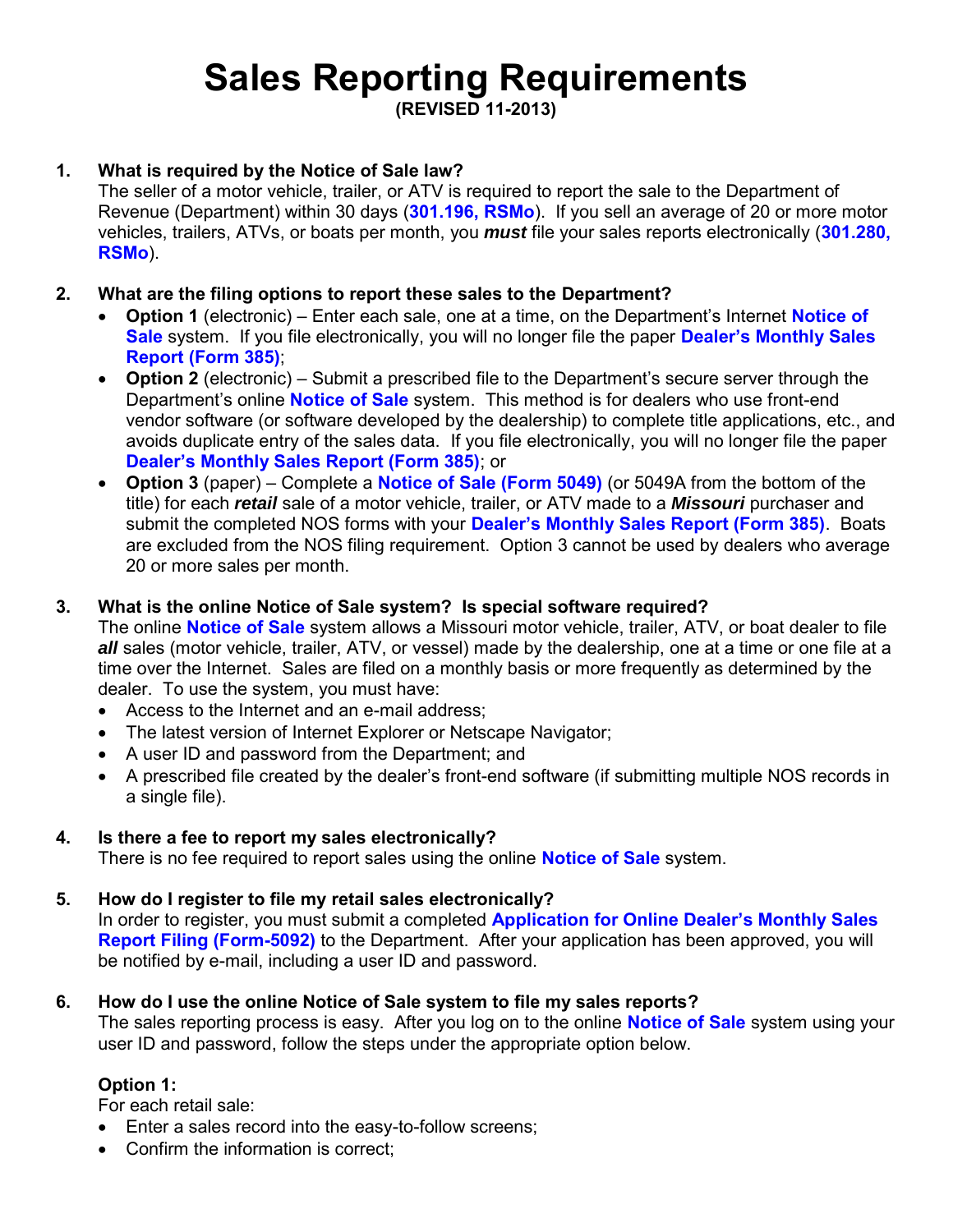# **Sales Reporting Requirements**

**(REVISED 11-2013)** 

# **1. What is required by the Notice of Sale law?**

The seller of a motor vehicle, trailer, or ATV is required to report the sale to the Department of Revenue (Department) within 30 days (**[301.196, RSMo](http://www.moga.mo.gov/mostatutes/stathtml/30100001961.html)**). If you sell an average of 20 or more motor vehicles, trailers, ATVs, or boats per month, you *must* file your sales reports electronically (**[301.280,](http://www.moga.mo.gov/mostatutes/stathtml/30100002801.html)  [RSMo](http://www.moga.mo.gov/mostatutes/stathtml/30100002801.html)**).

# **2. What are the filing options to report these sales to the Department?**

- **Option 1** (electronic) Enter each sale, one at a time, on the Department's Internet **[Notice of](https://dors.mo.gov/dmv/nos/loginLink.do)  [Sale](https://dors.mo.gov/dmv/nos/loginLink.do)** system. If you file electronically, you will no longer file the paper **[Dealer's Monthly Sales](http://dor.mo.gov/forms/385.pdf)  [Report \(Form 385\)](http://dor.mo.gov/forms/385.pdf)**;
- **Option 2** (electronic) Submit a prescribed file to the Department's secure server through the Department's online **[Notice of Sale](https://dors.mo.gov/dmv/nos/loginLink.do)** system. This method is for dealers who use front-end vendor software (or software developed by the dealership) to complete title applications, etc., and avoids duplicate entry of the sales data. If you file electronically, you will no longer file the paper **[Dealer's Monthly Sales Report \(Form 385\)](http://dor.mo.gov/forms/385.pdf)**; or
- **Option 3** (paper) Complete a **[Notice of Sale \(Form 5049\)](http://dor.mo.gov/forms/5049.pdf)** (or 5049A from the bottom of the title) for each *retail* sale of a motor vehicle, trailer, or ATV made to a *Missouri* purchaser and submit the completed NOS forms with your **[Dealer's Monthly Sales Report \(Form 385\)](http://dor.mo.gov/forms/385.pdf)**. Boats are excluded from the NOS filing requirement. Option 3 cannot be used by dealers who average 20 or more sales per month.

### **3. What is the online Notice of Sale system? Is special software required?**

The online **[Notice of Sale](https://dors.mo.gov/dmv/nos/loginLink.do)** system allows a Missouri motor vehicle, trailer, ATV, or boat dealer to file *all* sales (motor vehicle, trailer, ATV, or vessel) made by the dealership, one at a time or one file at a time over the Internet. Sales are filed on a monthly basis or more frequently as determined by the dealer. To use the system, you must have:

- Access to the Internet and an e-mail address;
- The latest version of Internet Explorer or Netscape Navigator;
- A user ID and password from the Department; and
- A prescribed file created by the dealer's front-end software (if submitting multiple NOS records in a single file).

# **4. Is there a fee to report my sales electronically?**

There is no fee required to report sales using the online **[Notice of Sale](https://dors.mo.gov/dmv/nos/loginLink.do)** system.

# **5. How do I register to file my retail sales electronically?**

In order to register, you must submit a completed **[Application for Online Dealer's Monthly Sales](http://dor.mo.gov/forms/5092.pdf)  [Report Filing \(Form-5092\)](http://dor.mo.gov/forms/5092.pdf)** to the Department. After your application has been approved, you will be notified by e-mail, including a user ID and password.

# **6. How do I use the online Notice of Sale system to file my sales reports?**

The sales reporting process is easy. After you log on to the online **[Notice of Sale](https://dors.mo.gov/dmv/nos/loginLink.do)** system using your user ID and password, follow the steps under the appropriate option below.

# **Option 1:**

For each retail sale:

- Enter a sales record into the easy-to-follow screens;
- Confirm the information is correct: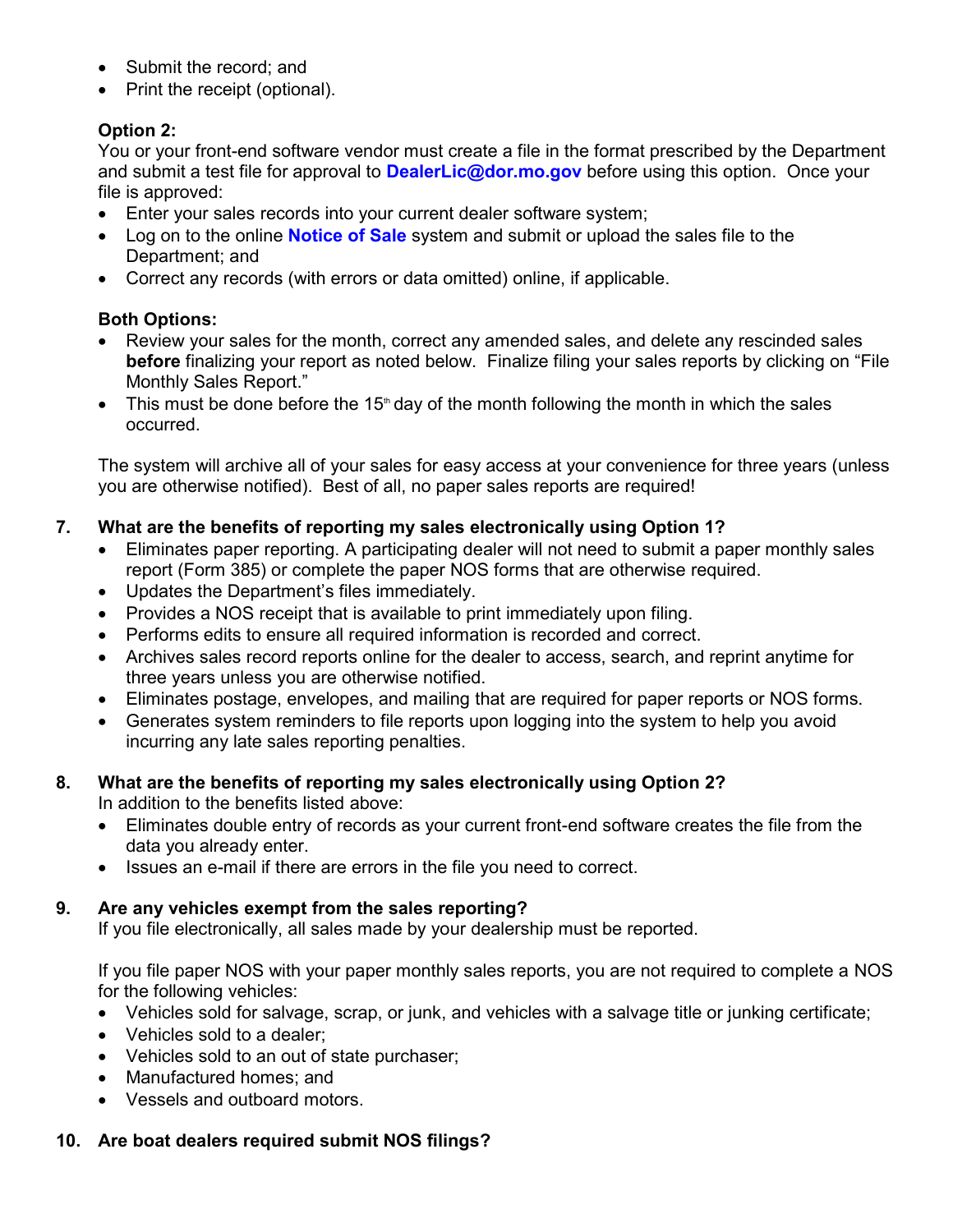- Submit the record; and
- Print the receipt (optional).

# **Option 2:**

You or your front-end software vendor must create a file in the format prescribed by the Department and submit a test file for approval to **[DealerLic@dor.mo.gov](mailto:DealerLic@dor.mo.gov)** before using this option. Once your file is approved:

- Enter your sales records into your current dealer software system;
- Log on to the online **[Notice of Sale](https://dors.mo.gov/dmv/nos/loginLink.do)** system and submit or upload the sales file to the Department; and
- Correct any records (with errors or data omitted) online, if applicable.

# **Both Options:**

- Review your sales for the month, correct any amended sales, and delete any rescinded sales **before** finalizing your report as noted below. Finalize filing your sales reports by clicking on "File Monthly Sales Report."
- $\bullet$  This must be done before the 15<sup>th</sup> day of the month following the month in which the sales occurred.

The system will archive all of your sales for easy access at your convenience for three years (unless you are otherwise notified). Best of all, no paper sales reports are required!

# **7. What are the benefits of reporting my sales electronically using Option 1?**

- Eliminates paper reporting. A participating dealer will not need to submit a paper monthly sales report (Form 385) or complete the paper NOS forms that are otherwise required.
- Updates the Department's files immediately.
- Provides a NOS receipt that is available to print immediately upon filing.
- Performs edits to ensure all required information is recorded and correct.
- Archives sales record reports online for the dealer to access, search, and reprint anytime for three years unless you are otherwise notified.
- Eliminates postage, envelopes, and mailing that are required for paper reports or NOS forms.
- Generates system reminders to file reports upon logging into the system to help you avoid incurring any late sales reporting penalties.

# **8. What are the benefits of reporting my sales electronically using Option 2?**

In addition to the benefits listed above:

- Eliminates double entry of records as your current front-end software creates the file from the data you already enter.
- Issues an e-mail if there are errors in the file you need to correct.

#### **9. Are any vehicles exempt from the sales reporting?**

If you file electronically, all sales made by your dealership must be reported.

If you file paper NOS with your paper monthly sales reports, you are not required to complete a NOS for the following vehicles:

- Vehicles sold for salvage, scrap, or junk, and vehicles with a salvage title or junking certificate;
- Vehicles sold to a dealer;
- Vehicles sold to an out of state purchaser;
- Manufactured homes; and
- Vessels and outboard motors.

#### **10. Are boat dealers required submit NOS filings?**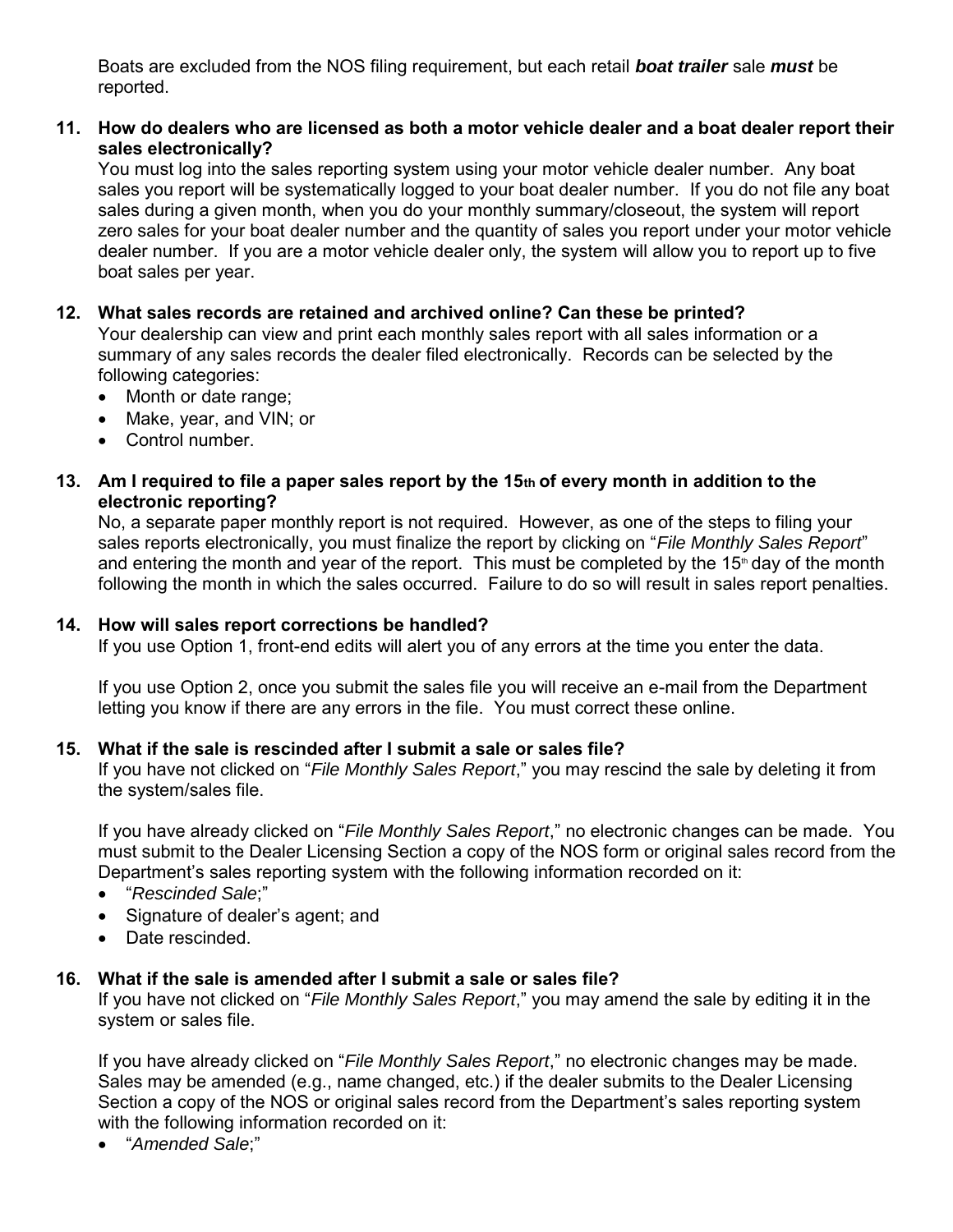Boats are excluded from the NOS filing requirement, but each retail *boat trailer* sale *must* be reported.

#### **11. How do dealers who are licensed as both a motor vehicle dealer and a boat dealer report their sales electronically?**

You must log into the sales reporting system using your motor vehicle dealer number. Any boat sales you report will be systematically logged to your boat dealer number. If you do not file any boat sales during a given month, when you do your monthly summary/closeout, the system will report zero sales for your boat dealer number and the quantity of sales you report under your motor vehicle dealer number. If you are a motor vehicle dealer only, the system will allow you to report up to five boat sales per year.

#### **12. What sales records are retained and archived online? Can these be printed?**

Your dealership can view and print each monthly sales report with all sales information or a summary of any sales records the dealer filed electronically. Records can be selected by the following categories:

- Month or date range;
- Make, year, and VIN; or
- Control number.

#### **13. Am I required to file a paper sales report by the 15th of every month in addition to the electronic reporting?**

No, a separate paper monthly report is not required. However, as one of the steps to filing your sales reports electronically, you must finalize the report by clicking on "*File Monthly Sales Report*" and entering the month and year of the report. This must be completed by the  $15<sup>th</sup>$  day of the month following the month in which the sales occurred. Failure to do so will result in sales report penalties.

#### **14. How will sales report corrections be handled?**

If you use Option 1, front-end edits will alert you of any errors at the time you enter the data.

If you use Option 2, once you submit the sales file you will receive an e-mail from the Department letting you know if there are any errors in the file. You must correct these online.

#### **15. What if the sale is rescinded after I submit a sale or sales file?**

If you have not clicked on "*File Monthly Sales Report*," you may rescind the sale by deleting it from the system/sales file.

If you have already clicked on "*File Monthly Sales Report*," no electronic changes can be made. You must submit to the Dealer Licensing Section a copy of the NOS form or original sales record from the Department's sales reporting system with the following information recorded on it:

- "*Rescinded Sale*;"
- Signature of dealer's agent; and
- Date rescinded.

#### **16. What if the sale is amended after I submit a sale or sales file?**

If you have not clicked on "*File Monthly Sales Report*," you may amend the sale by editing it in the system or sales file.

If you have already clicked on "*File Monthly Sales Report*," no electronic changes may be made. Sales may be amended (e.g., name changed, etc.) if the dealer submits to the Dealer Licensing Section a copy of the NOS or original sales record from the Department's sales reporting system with the following information recorded on it:

"*Amended Sale*;"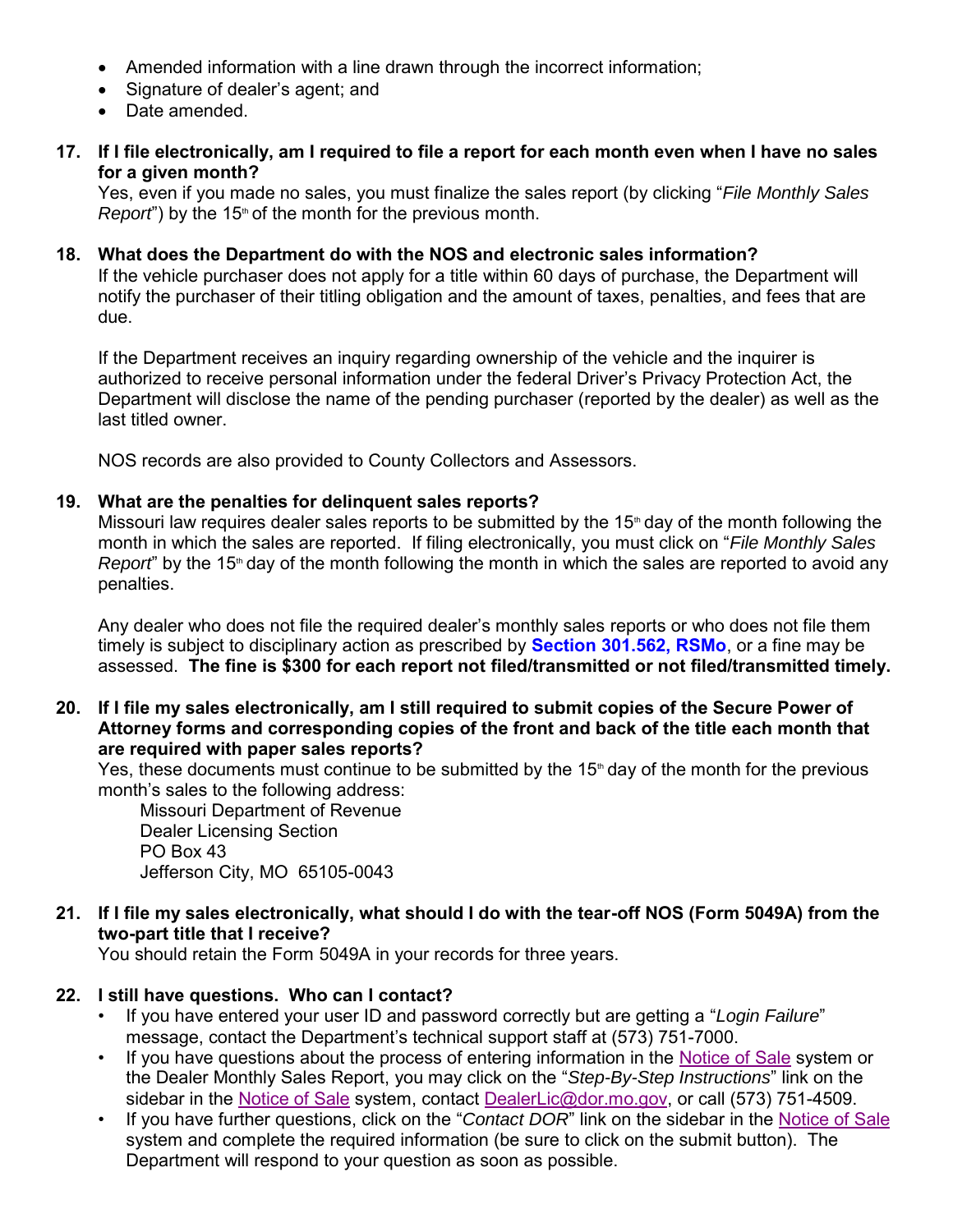- Amended information with a line drawn through the incorrect information;
- Signature of dealer's agent; and
- Date amended.
- **17. If I file electronically, am I required to file a report for each month even when I have no sales for a given month?**

Yes, even if you made no sales, you must finalize the sales report (by clicking "*File Monthly Sales Report*") by the 15<sup>th</sup> of the month for the previous month.

**18. What does the Department do with the NOS and electronic sales information?** If the vehicle purchaser does not apply for a title within 60 days of purchase, the Department will notify the purchaser of their titling obligation and the amount of taxes, penalties, and fees that are due.

If the Department receives an inquiry regarding ownership of the vehicle and the inquirer is authorized to receive personal information under the federal Driver's Privacy Protection Act, the Department will disclose the name of the pending purchaser (reported by the dealer) as well as the last titled owner.

NOS records are also provided to County Collectors and Assessors.

#### **19. What are the penalties for delinquent sales reports?**

Missouri law requires dealer sales reports to be submitted by the  $15<sup>th</sup>$  day of the month following the month in which the sales are reported. If filing electronically, you must click on "*File Monthly Sales Report*" by the 15<sup>th</sup> day of the month following the month in which the sales are reported to avoid any penalties.

Any dealer who does not file the required dealer's monthly sales reports or who does not file them timely is subject to disciplinary action as prescribed by **[Section 301.562, RSMo](http://www.moga.mo.gov/mostatutes/stathtml/30100005621.html)**, or a fine may be assessed. **The fine is \$300 for each report not filed/transmitted or not filed/transmitted timely.** 

**20. If I file my sales electronically, am I still required to submit copies of the Secure Power of Attorney forms and corresponding copies of the front and back of the title each month that are required with paper sales reports?**

Yes, these documents must continue to be submitted by the 15<sup>th</sup> day of the month for the previous month's sales to the following address:

Missouri Department of Revenue Dealer Licensing Section PO Box 43 Jefferson City, MO 65105-0043

#### **21. If I file my sales electronically, what should I do with the tear-off NOS (Form 5049A) from the two-part title that I receive?**

You should retain the Form 5049A in your records for three years.

#### **22. I still have questions. Who can I contact?**

- If you have entered your user ID and password correctly but are getting a "*Login Failure*" message, contact the Department's technical support staff at (573) 751-7000.
- If you have questions about the process of entering information in the [Notice of Sale](https://dors.mo.gov/dmv/nos/loginLink.do) system or the Dealer Monthly Sales Report, you may click on the "*Step-By-Step Instructions*" link on the sidebar in the [Notice of Sale](https://dors.mo.gov/dmv/nos/loginLink.do) system, contact [DealerLic@dor.mo.gov,](mailto:DealerLic@dor.mo.gov) or call (573) 751-4509.
- If you have further questions, click on the "*Contact DOR*" link on the sidebar in the [Notice of Sale](https://dors.mo.gov/dmv/nos/loginLink.do) system and complete the required information (be sure to click on the submit button). The Department will respond to your question as soon as possible.